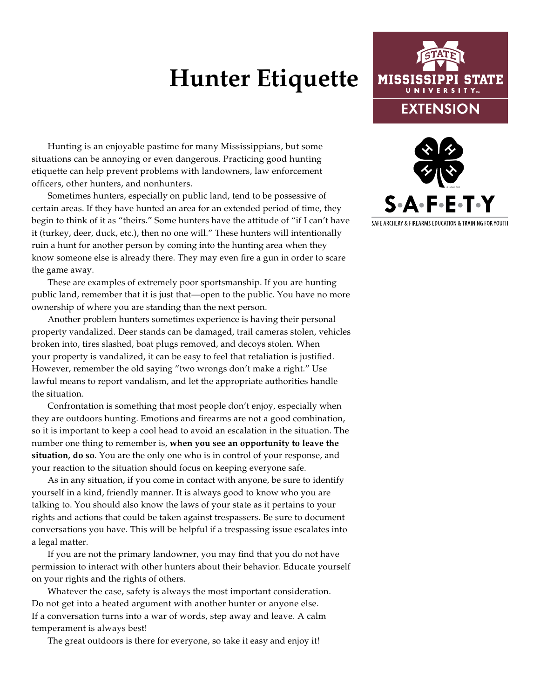## **Hunter Etiquette**

Hunting is an enjoyable pastime for many Mississippians, but some situations can be annoying or even dangerous. Practicing good hunting etiquette can help prevent problems with landowners, law enforcement officers, other hunters, and nonhunters.

Sometimes hunters, especially on public land, tend to be possessive of certain areas. If they have hunted an area for an extended period of time, they begin to think of it as "theirs." Some hunters have the attitude of "if I can't have it (turkey, deer, duck, etc.), then no one will." These hunters will intentionally ruin a hunt for another person by coming into the hunting area when they know someone else is already there. They may even fire a gun in order to scare the game away.

These are examples of extremely poor sportsmanship. If you are hunting public land, remember that it is just that—open to the public. You have no more ownership of where you are standing than the next person.

Another problem hunters sometimes experience is having their personal property vandalized. Deer stands can be damaged, trail cameras stolen, vehicles broken into, tires slashed, boat plugs removed, and decoys stolen. When your property is vandalized, it can be easy to feel that retaliation is justified. However, remember the old saying "two wrongs don't make a right." Use lawful means to report vandalism, and let the appropriate authorities handle the situation.

Confrontation is something that most people don't enjoy, especially when they are outdoors hunting. Emotions and firearms are not a good combination, so it is important to keep a cool head to avoid an escalation in the situation. The number one thing to remember is, **when you see an opportunity to leave the situation, do so**. You are the only one who is in control of your response, and your reaction to the situation should focus on keeping everyone safe.

As in any situation, if you come in contact with anyone, be sure to identify yourself in a kind, friendly manner. It is always good to know who you are talking to. You should also know the laws of your state as it pertains to your rights and actions that could be taken against trespassers. Be sure to document conversations you have. This will be helpful if a trespassing issue escalates into a legal matter.

If you are not the primary landowner, you may find that you do not have permission to interact with other hunters about their behavior. Educate yourself on your rights and the rights of others.

Whatever the case, safety is always the most important consideration. Do not get into a heated argument with another hunter or anyone else. If a conversation turns into a war of words, step away and leave. A calm temperament is always best!

The great outdoors is there for everyone, so take it easy and enjoy it!





SAFE ARCHERY & FIREARMS EDUCATION & TRAINING FOR YOUTH